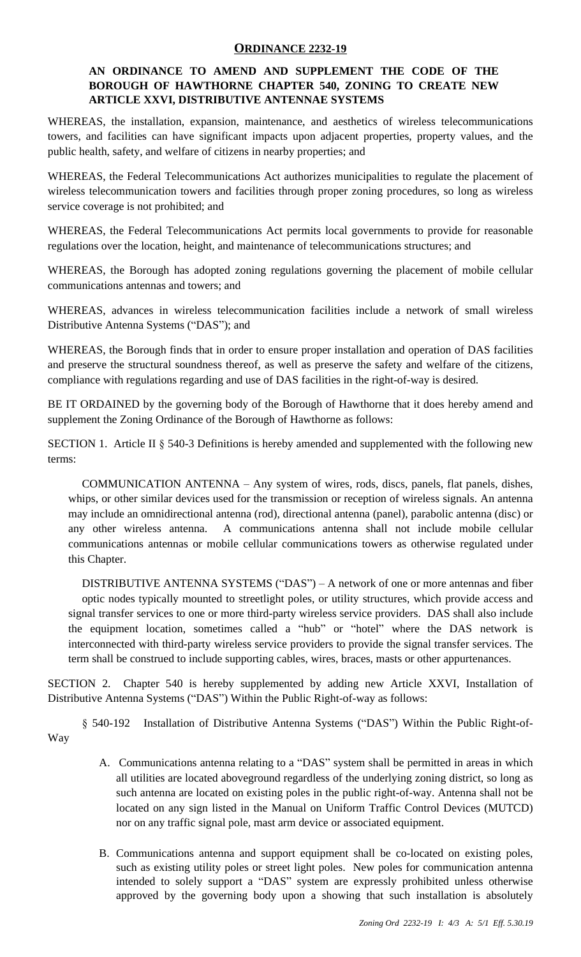## **ORDINANCE 2232-19**

## **AN ORDINANCE TO AMEND AND SUPPLEMENT THE CODE OF THE BOROUGH OF HAWTHORNE CHAPTER 540, ZONING TO CREATE NEW ARTICLE XXVI, DISTRIBUTIVE ANTENNAE SYSTEMS**

WHEREAS, the installation, expansion, maintenance, and aesthetics of wireless telecommunications towers, and facilities can have significant impacts upon adjacent properties, property values, and the public health, safety, and welfare of citizens in nearby properties; and

WHEREAS, the Federal Telecommunications Act authorizes municipalities to regulate the placement of wireless telecommunication towers and facilities through proper zoning procedures, so long as wireless service coverage is not prohibited; and

WHEREAS, the Federal Telecommunications Act permits local governments to provide for reasonable regulations over the location, height, and maintenance of telecommunications structures; and

WHEREAS, the Borough has adopted zoning regulations governing the placement of mobile cellular communications antennas and towers; and

WHEREAS, advances in wireless telecommunication facilities include a network of small wireless Distributive Antenna Systems ("DAS"); and

WHEREAS, the Borough finds that in order to ensure proper installation and operation of DAS facilities and preserve the structural soundness thereof, as well as preserve the safety and welfare of the citizens, compliance with regulations regarding and use of DAS facilities in the right-of-way is desired.

BE IT ORDAINED by the governing body of the Borough of Hawthorne that it does hereby amend and supplement the Zoning Ordinance of the Borough of Hawthorne as follows:

SECTION 1. Article II § 540-3 Definitions is hereby amended and supplemented with the following new terms:

COMMUNICATION ANTENNA – Any system of wires, rods, discs, panels, flat panels, dishes, whips, or other similar devices used for the transmission or reception of wireless signals. An antenna may include an omnidirectional antenna (rod), directional antenna (panel), parabolic antenna (disc) or any other wireless antenna. A communications antenna shall not include mobile cellular communications antennas or mobile cellular communications towers as otherwise regulated under this Chapter.

DISTRIBUTIVE ANTENNA SYSTEMS ("DAS") – A network of one or more antennas and fiber optic nodes typically mounted to streetlight poles, or utility structures, which provide access and signal transfer services to one or more third-party wireless service providers. DAS shall also include the equipment location, sometimes called a "hub" or "hotel" where the DAS network is interconnected with third-party wireless service providers to provide the signal transfer services. The term shall be construed to include supporting cables, wires, braces, masts or other appurtenances.

SECTION 2. Chapter 540 is hereby supplemented by adding new Article XXVI, Installation of Distributive Antenna Systems ("DAS") Within the Public Right-of-way as follows:

§ 540-192 Installation of Distributive Antenna Systems ("DAS") Within the Public Right-of-Way

- A. Communications antenna relating to a "DAS" system shall be permitted in areas in which all utilities are located aboveground regardless of the underlying zoning district, so long as such antenna are located on existing poles in the public right-of-way. Antenna shall not be located on any sign listed in the Manual on Uniform Traffic Control Devices (MUTCD) nor on any traffic signal pole, mast arm device or associated equipment.
- B. Communications antenna and support equipment shall be co-located on existing poles, such as existing utility poles or street light poles. New poles for communication antenna intended to solely support a "DAS" system are expressly prohibited unless otherwise approved by the governing body upon a showing that such installation is absolutely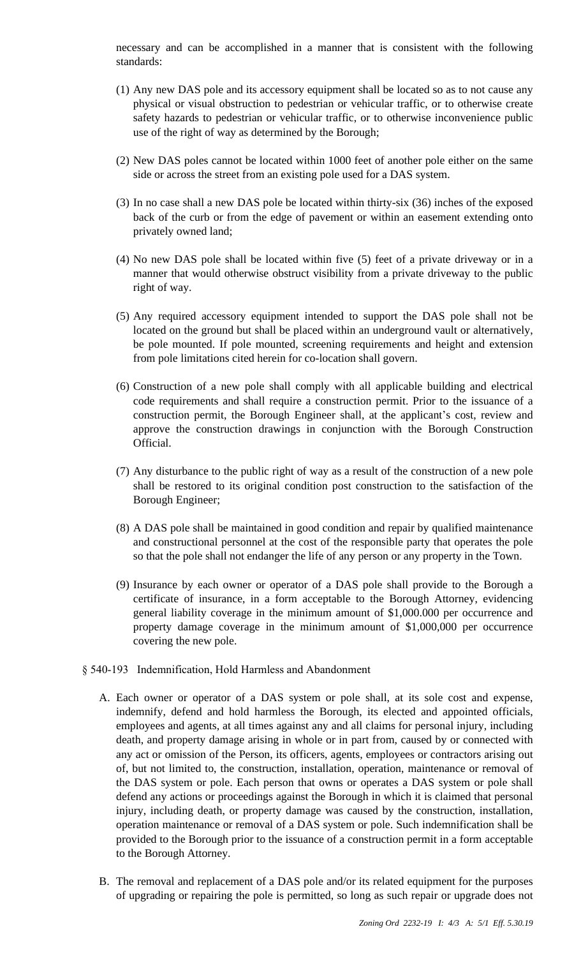necessary and can be accomplished in a manner that is consistent with the following standards:

- (1) Any new DAS pole and its accessory equipment shall be located so as to not cause any physical or visual obstruction to pedestrian or vehicular traffic, or to otherwise create safety hazards to pedestrian or vehicular traffic, or to otherwise inconvenience public use of the right of way as determined by the Borough;
- (2) New DAS poles cannot be located within 1000 feet of another pole either on the same side or across the street from an existing pole used for a DAS system.
- (3) In no case shall a new DAS pole be located within thirty-six (36) inches of the exposed back of the curb or from the edge of pavement or within an easement extending onto privately owned land;
- (4) No new DAS pole shall be located within five (5) feet of a private driveway or in a manner that would otherwise obstruct visibility from a private driveway to the public right of way.
- (5) Any required accessory equipment intended to support the DAS pole shall not be located on the ground but shall be placed within an underground vault or alternatively, be pole mounted. If pole mounted, screening requirements and height and extension from pole limitations cited herein for co-location shall govern.
- (6) Construction of a new pole shall comply with all applicable building and electrical code requirements and shall require a construction permit. Prior to the issuance of a construction permit, the Borough Engineer shall, at the applicant's cost, review and approve the construction drawings in conjunction with the Borough Construction Official.
- (7) Any disturbance to the public right of way as a result of the construction of a new pole shall be restored to its original condition post construction to the satisfaction of the Borough Engineer;
- (8) A DAS pole shall be maintained in good condition and repair by qualified maintenance and constructional personnel at the cost of the responsible party that operates the pole so that the pole shall not endanger the life of any person or any property in the Town.
- (9) Insurance by each owner or operator of a DAS pole shall provide to the Borough a certificate of insurance, in a form acceptable to the Borough Attorney, evidencing general liability coverage in the minimum amount of \$1,000.000 per occurrence and property damage coverage in the minimum amount of \$1,000,000 per occurrence covering the new pole.
- § 540-193 Indemnification, Hold Harmless and Abandonment
	- A. Each owner or operator of a DAS system or pole shall, at its sole cost and expense, indemnify, defend and hold harmless the Borough, its elected and appointed officials, employees and agents, at all times against any and all claims for personal injury, including death, and property damage arising in whole or in part from, caused by or connected with any act or omission of the Person, its officers, agents, employees or contractors arising out of, but not limited to, the construction, installation, operation, maintenance or removal of the DAS system or pole. Each person that owns or operates a DAS system or pole shall defend any actions or proceedings against the Borough in which it is claimed that personal injury, including death, or property damage was caused by the construction, installation, operation maintenance or removal of a DAS system or pole. Such indemnification shall be provided to the Borough prior to the issuance of a construction permit in a form acceptable to the Borough Attorney.
	- B. The removal and replacement of a DAS pole and/or its related equipment for the purposes of upgrading or repairing the pole is permitted, so long as such repair or upgrade does not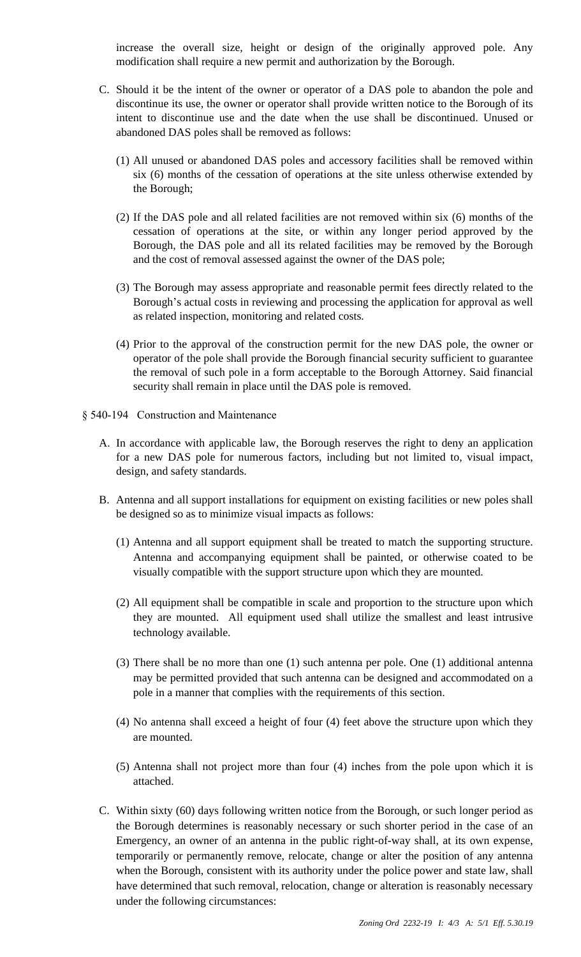increase the overall size, height or design of the originally approved pole. Any modification shall require a new permit and authorization by the Borough.

- C. Should it be the intent of the owner or operator of a DAS pole to abandon the pole and discontinue its use, the owner or operator shall provide written notice to the Borough of its intent to discontinue use and the date when the use shall be discontinued. Unused or abandoned DAS poles shall be removed as follows:
	- (1) All unused or abandoned DAS poles and accessory facilities shall be removed within six (6) months of the cessation of operations at the site unless otherwise extended by the Borough;
	- (2) If the DAS pole and all related facilities are not removed within six (6) months of the cessation of operations at the site, or within any longer period approved by the Borough, the DAS pole and all its related facilities may be removed by the Borough and the cost of removal assessed against the owner of the DAS pole;
	- (3) The Borough may assess appropriate and reasonable permit fees directly related to the Borough's actual costs in reviewing and processing the application for approval as well as related inspection, monitoring and related costs.
	- (4) Prior to the approval of the construction permit for the new DAS pole, the owner or operator of the pole shall provide the Borough financial security sufficient to guarantee the removal of such pole in a form acceptable to the Borough Attorney. Said financial security shall remain in place until the DAS pole is removed.
- § 540-194 Construction and Maintenance
	- A. In accordance with applicable law, the Borough reserves the right to deny an application for a new DAS pole for numerous factors, including but not limited to, visual impact, design, and safety standards.
	- B. Antenna and all support installations for equipment on existing facilities or new poles shall be designed so as to minimize visual impacts as follows:
		- (1) Antenna and all support equipment shall be treated to match the supporting structure. Antenna and accompanying equipment shall be painted, or otherwise coated to be visually compatible with the support structure upon which they are mounted.
		- (2) All equipment shall be compatible in scale and proportion to the structure upon which they are mounted. All equipment used shall utilize the smallest and least intrusive technology available.
		- (3) There shall be no more than one (1) such antenna per pole. One (1) additional antenna may be permitted provided that such antenna can be designed and accommodated on a pole in a manner that complies with the requirements of this section.
		- (4) No antenna shall exceed a height of four (4) feet above the structure upon which they are mounted.
		- (5) Antenna shall not project more than four (4) inches from the pole upon which it is attached.
	- C. Within sixty (60) days following written notice from the Borough, or such longer period as the Borough determines is reasonably necessary or such shorter period in the case of an Emergency, an owner of an antenna in the public right-of-way shall, at its own expense, temporarily or permanently remove, relocate, change or alter the position of any antenna when the Borough, consistent with its authority under the police power and state law, shall have determined that such removal, relocation, change or alteration is reasonably necessary under the following circumstances: